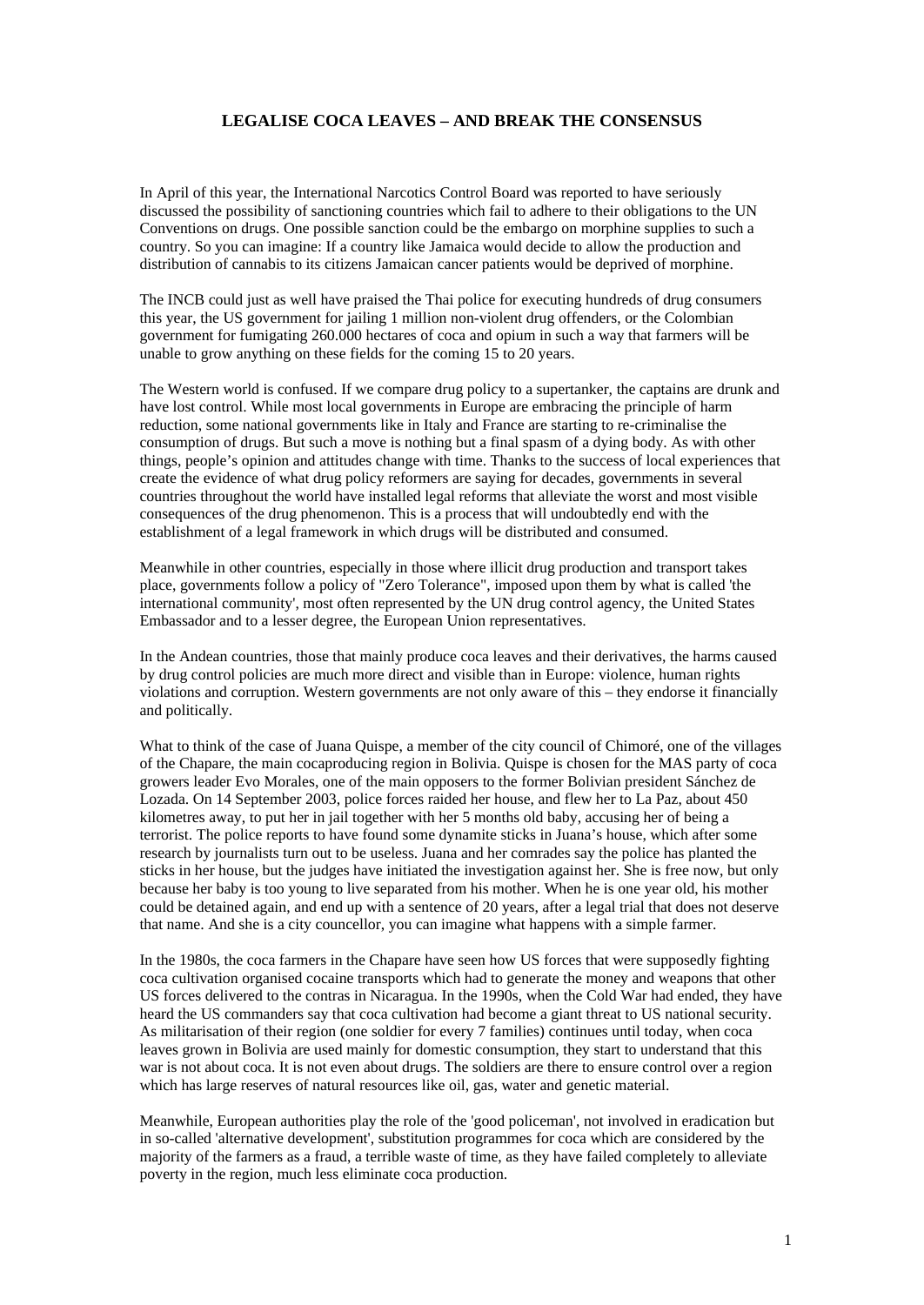## **LEGALISE COCA LEAVES – AND BREAK THE CONSENSUS**

In April of this year, the International Narcotics Control Board was reported to have seriously discussed the possibility of sanctioning countries which fail to adhere to their obligations to the UN Conventions on drugs. One possible sanction could be the embargo on morphine supplies to such a country. So you can imagine: If a country like Jamaica would decide to allow the production and distribution of cannabis to its citizens Jamaican cancer patients would be deprived of morphine.

The INCB could just as well have praised the Thai police for executing hundreds of drug consumers this year, the US government for jailing 1 million non-violent drug offenders, or the Colombian government for fumigating 260.000 hectares of coca and opium in such a way that farmers will be unable to grow anything on these fields for the coming 15 to 20 years.

The Western world is confused. If we compare drug policy to a supertanker, the captains are drunk and have lost control. While most local governments in Europe are embracing the principle of harm reduction, some national governments like in Italy and France are starting to re-criminalise the consumption of drugs. But such a move is nothing but a final spasm of a dying body. As with other things, people's opinion and attitudes change with time. Thanks to the success of local experiences that create the evidence of what drug policy reformers are saying for decades, governments in several countries throughout the world have installed legal reforms that alleviate the worst and most visible consequences of the drug phenomenon. This is a process that will undoubtedly end with the establishment of a legal framework in which drugs will be distributed and consumed.

Meanwhile in other countries, especially in those where illicit drug production and transport takes place, governments follow a policy of "Zero Tolerance", imposed upon them by what is called 'the international community', most often represented by the UN drug control agency, the United States Embassador and to a lesser degree, the European Union representatives.

In the Andean countries, those that mainly produce coca leaves and their derivatives, the harms caused by drug control policies are much more direct and visible than in Europe: violence, human rights violations and corruption. Western governments are not only aware of this – they endorse it financially and politically.

What to think of the case of Juana Quispe, a member of the city council of Chimoré, one of the villages of the Chapare, the main cocaproducing region in Bolivia. Quispe is chosen for the MAS party of coca growers leader Evo Morales, one of the main opposers to the former Bolivian president Sánchez de Lozada. On 14 September 2003, police forces raided her house, and flew her to La Paz, about 450 kilometres away, to put her in jail together with her 5 months old baby, accusing her of being a terrorist. The police reports to have found some dynamite sticks in Juana's house, which after some research by journalists turn out to be useless. Juana and her comrades say the police has planted the sticks in her house, but the judges have initiated the investigation against her. She is free now, but only because her baby is too young to live separated from his mother. When he is one year old, his mother could be detained again, and end up with a sentence of 20 years, after a legal trial that does not deserve that name. And she is a city councellor, you can imagine what happens with a simple farmer.

In the 1980s, the coca farmers in the Chapare have seen how US forces that were supposedly fighting coca cultivation organised cocaine transports which had to generate the money and weapons that other US forces delivered to the contras in Nicaragua. In the 1990s, when the Cold War had ended, they have heard the US commanders say that coca cultivation had become a giant threat to US national security. As militarisation of their region (one soldier for every 7 families) continues until today, when coca leaves grown in Bolivia are used mainly for domestic consumption, they start to understand that this war is not about coca. It is not even about drugs. The soldiers are there to ensure control over a region which has large reserves of natural resources like oil, gas, water and genetic material.

Meanwhile, European authorities play the role of the 'good policeman', not involved in eradication but in so-called 'alternative development', substitution programmes for coca which are considered by the majority of the farmers as a fraud, a terrible waste of time, as they have failed completely to alleviate poverty in the region, much less eliminate coca production.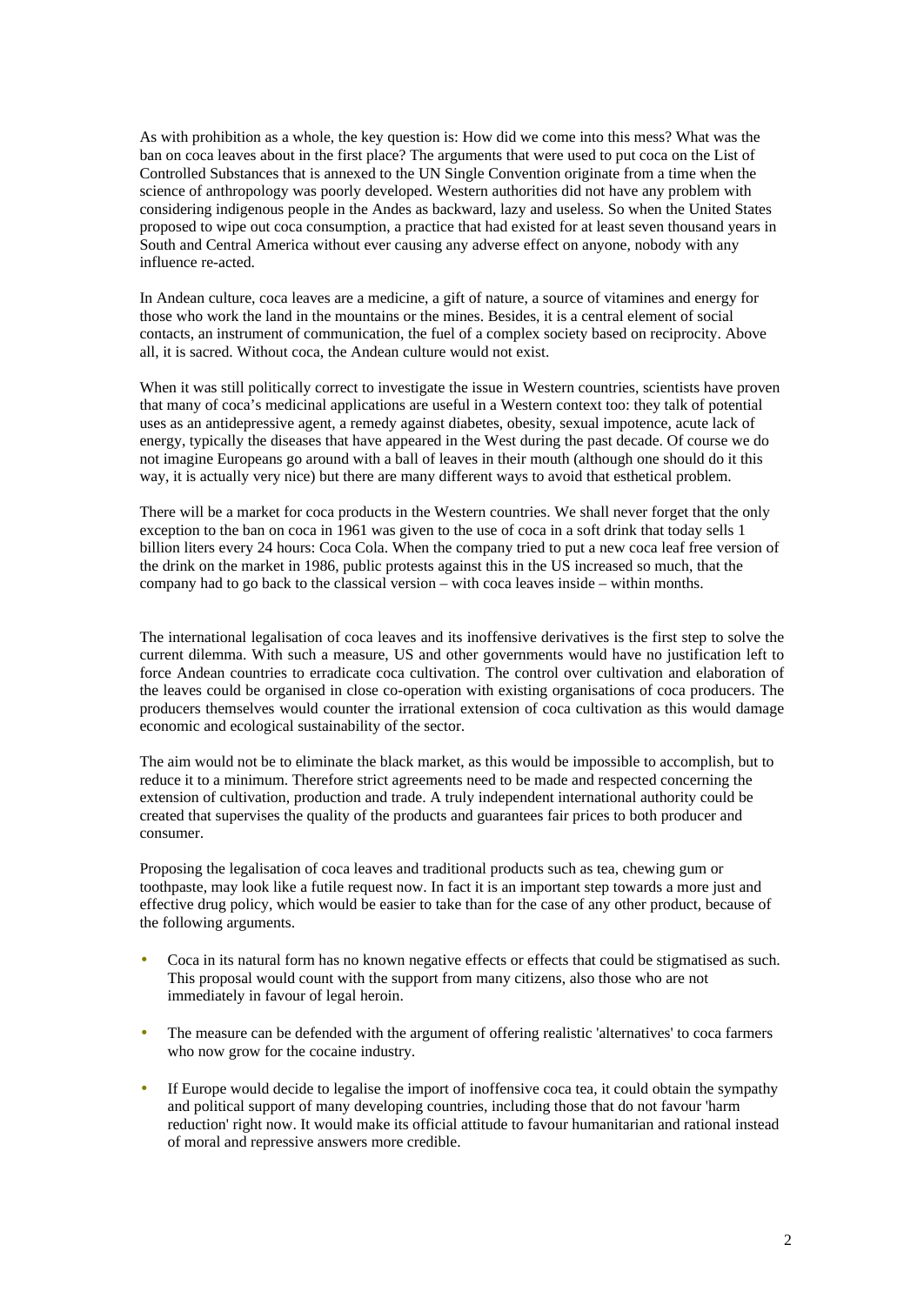As with prohibition as a whole, the key question is: How did we come into this mess? What was the ban on coca leaves about in the first place? The arguments that were used to put coca on the List of Controlled Substances that is annexed to the UN Single Convention originate from a time when the science of anthropology was poorly developed. Western authorities did not have any problem with considering indigenous people in the Andes as backward, lazy and useless. So when the United States proposed to wipe out coca consumption, a practice that had existed for at least seven thousand years in South and Central America without ever causing any adverse effect on anyone, nobody with any influence re-acted.

In Andean culture, coca leaves are a medicine, a gift of nature, a source of vitamines and energy for those who work the land in the mountains or the mines. Besides, it is a central element of social contacts, an instrument of communication, the fuel of a complex society based on reciprocity. Above all, it is sacred. Without coca, the Andean culture would not exist.

When it was still politically correct to investigate the issue in Western countries, scientists have proven that many of coca's medicinal applications are useful in a Western context too: they talk of potential uses as an antidepressive agent, a remedy against diabetes, obesity, sexual impotence, acute lack of energy, typically the diseases that have appeared in the West during the past decade. Of course we do not imagine Europeans go around with a ball of leaves in their mouth (although one should do it this way, it is actually very nice) but there are many different ways to avoid that esthetical problem.

There will be a market for coca products in the Western countries. We shall never forget that the only exception to the ban on coca in 1961 was given to the use of coca in a soft drink that today sells 1 billion liters every 24 hours: Coca Cola. When the company tried to put a new coca leaf free version of the drink on the market in 1986, public protests against this in the US increased so much, that the company had to go back to the classical version – with coca leaves inside – within months.

The international legalisation of coca leaves and its inoffensive derivatives is the first step to solve the current dilemma. With such a measure, US and other governments would have no justification left to force Andean countries to erradicate coca cultivation. The control over cultivation and elaboration of the leaves could be organised in close co-operation with existing organisations of coca producers. The producers themselves would counter the irrational extension of coca cultivation as this would damage economic and ecological sustainability of the sector.

The aim would not be to eliminate the black market, as this would be impossible to accomplish, but to reduce it to a minimum. Therefore strict agreements need to be made and respected concerning the extension of cultivation, production and trade. A truly independent international authority could be created that supervises the quality of the products and guarantees fair prices to both producer and consumer.

Proposing the legalisation of coca leaves and traditional products such as tea, chewing gum or toothpaste, may look like a futile request now. In fact it is an important step towards a more just and effective drug policy, which would be easier to take than for the case of any other product, because of the following arguments.

- Coca in its natural form has no known negative effects or effects that could be stigmatised as such. This proposal would count with the support from many citizens, also those who are not immediately in favour of legal heroin.
- The measure can be defended with the argument of offering realistic 'alternatives' to coca farmers who now grow for the cocaine industry.
- If Europe would decide to legalise the import of inoffensive coca tea, it could obtain the sympathy and political support of many developing countries, including those that do not favour 'harm reduction' right now. It would make its official attitude to favour humanitarian and rational instead of moral and repressive answers more credible.